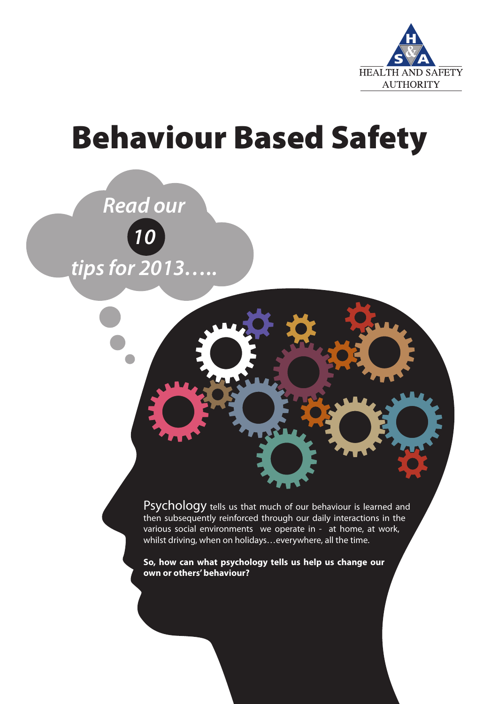

## Behaviour Based Safety



Psychology tells us that much of our behaviour is learned and then subsequently reinforced through our daily interactions in the various social environments we operate in - at home, at work, whilst driving, when on holidays…everywhere, all the time.

**So, how can what psychology tells us help us change our own or others' behaviour?**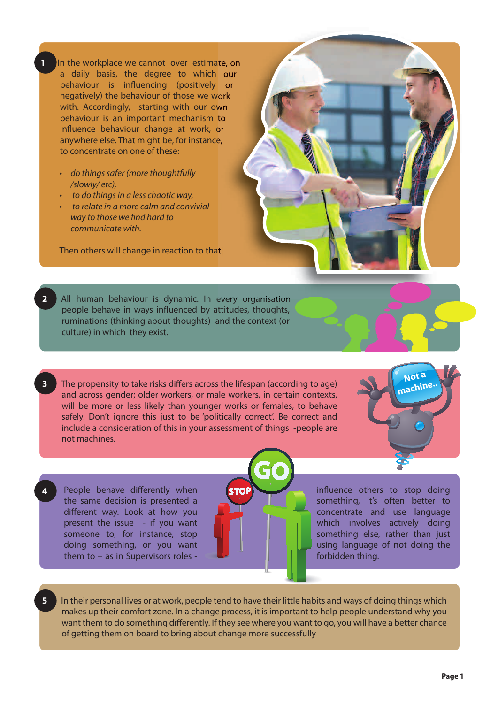**1** In the workplace we cannot over estimate, on a daily basis, the degree to which our behaviour is influencing (positively or negatively) the behaviour of those we work with. Accordingly, starting with our own behaviour is an important mechanism to influence behaviour change at work, or anywhere else. That might be, for instance, to concentrate on one of these:

- do things safer (more thoughtfully /slowly/ etc),
- to do things in a less chaotic way,
- **•** to relate in a more calm and convivial way to those we find hard to communicate with.

Then others will change in reaction to that.



- **2** All human behaviour is dynamic. In every organisation people behave in ways influenced by attitudes, thoughts, ruminations (thinking about thoughts) and the context (or culture) in which they exist.
- The propensity to take risks differs across the lifespan (according to age) and across gender; older workers, or male workers, in certain contexts, will be more or less likely than younger works or females, to behave safely. Don't ignore this just to be 'politically correct'. Be correct and include a consideration of this in your assessment of things -people are not machines.
- People behave differently when the same decision is presented a different way. Look at how you present the issue - if you want someone to, for instance, stop doing something, or you want them to – as in Supervisors roles -

**4**

influence others to stop doing something, it's often better to concentrate and use language which involves actively doing something else, rather than just using language of not doing the forbidden thing.

**Not a** achine

**5** In their personal lives or at work, people tend to have their little habits and ways of doing things which makes up their comfort zone. In a change process, it is important to help people understand why you want them to do something differently. If they see where you want to go, you will have a better chance of getting them on board to bring about change more successfully

**STO**